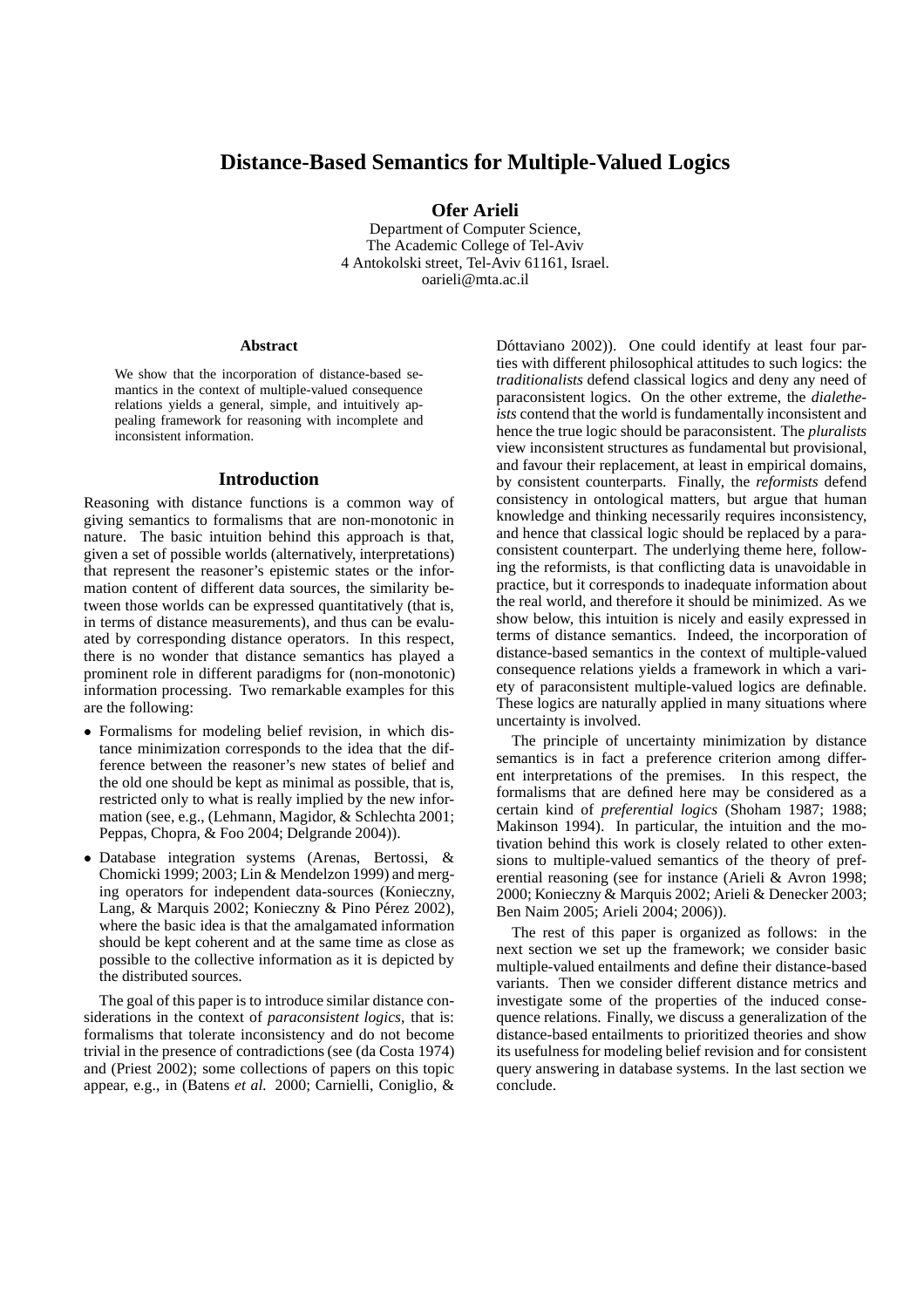# **Distance-Based Semantics for Multiple-Valued Logics**

**Ofer Arieli**

Department of Computer Science, The Academic College of Tel-Aviv 4 Antokolski street, Tel-Aviv 61161, Israel. oarieli@mta.ac.il

#### **Abstract**

We show that the incorporation of distance-based semantics in the context of multiple-valued consequence relations yields a general, simple, and intuitively appealing framework for reasoning with incomplete and inconsistent information.

### **Introduction**

Reasoning with distance functions is a common way of giving semantics to formalisms that are non-monotonic in nature. The basic intuition behind this approach is that, given a set of possible worlds (alternatively, interpretations) that represent the reasoner's epistemic states or the information content of different data sources, the similarity between those worlds can be expressed quantitatively (that is, in terms of distance measurements), and thus can be evaluated by corresponding distance operators. In this respect, there is no wonder that distance semantics has played a prominent role in different paradigms for (non-monotonic) information processing. Two remarkable examples for this are the following:

- Formalisms for modeling belief revision, in which distance minimization corresponds to the idea that the difference between the reasoner's new states of belief and the old one should be kept as minimal as possible, that is, restricted only to what is really implied by the new information (see, e.g., (Lehmann, Magidor, & Schlechta 2001; Peppas, Chopra, & Foo 2004; Delgrande 2004)).
- Database integration systems (Arenas, Bertossi, & Chomicki 1999; 2003; Lin & Mendelzon 1999) and merging operators for independent data-sources (Konieczny, Lang, & Marquis 2002; Konieczny & Pino Pérez 2002), where the basic idea is that the amalgamated information should be kept coherent and at the same time as close as possible to the collective information as it is depicted by the distributed sources.

The goal of this paper is to introduce similar distance considerations in the context of *paraconsistent logics*, that is: formalisms that tolerate inconsistency and do not become trivial in the presence of contradictions (see (da Costa 1974) and (Priest 2002); some collections of papers on this topic appear, e.g., in (Batens *et al.* 2000; Carnielli, Coniglio, &

Dóttaviano 2002)). One could identify at least four parties with different philosophical attitudes to such logics: the *traditionalists* defend classical logics and deny any need of paraconsistent logics. On the other extreme, the *dialetheists* contend that the world is fundamentally inconsistent and hence the true logic should be paraconsistent. The *pluralists* view inconsistent structures as fundamental but provisional, and favour their replacement, at least in empirical domains, by consistent counterparts. Finally, the *reformists* defend consistency in ontological matters, but argue that human knowledge and thinking necessarily requires inconsistency, and hence that classical logic should be replaced by a paraconsistent counterpart. The underlying theme here, following the reformists, is that conflicting data is unavoidable in practice, but it corresponds to inadequate information about the real world, and therefore it should be minimized. As we show below, this intuition is nicely and easily expressed in terms of distance semantics. Indeed, the incorporation of distance-based semantics in the context of multiple-valued consequence relations yields a framework in which a variety of paraconsistent multiple-valued logics are definable. These logics are naturally applied in many situations where uncertainty is involved.

The principle of uncertainty minimization by distance semantics is in fact a preference criterion among different interpretations of the premises. In this respect, the formalisms that are defined here may be considered as a certain kind of *preferential logics* (Shoham 1987; 1988; Makinson 1994). In particular, the intuition and the motivation behind this work is closely related to other extensions to multiple-valued semantics of the theory of preferential reasoning (see for instance (Arieli & Avron 1998; 2000; Konieczny & Marquis 2002; Arieli & Denecker 2003; Ben Naim 2005; Arieli 2004; 2006)).

The rest of this paper is organized as follows: in the next section we set up the framework; we consider basic multiple-valued entailments and define their distance-based variants. Then we consider different distance metrics and investigate some of the properties of the induced consequence relations. Finally, we discuss a generalization of the distance-based entailments to prioritized theories and show its usefulness for modeling belief revision and for consistent query answering in database systems. In the last section we conclude.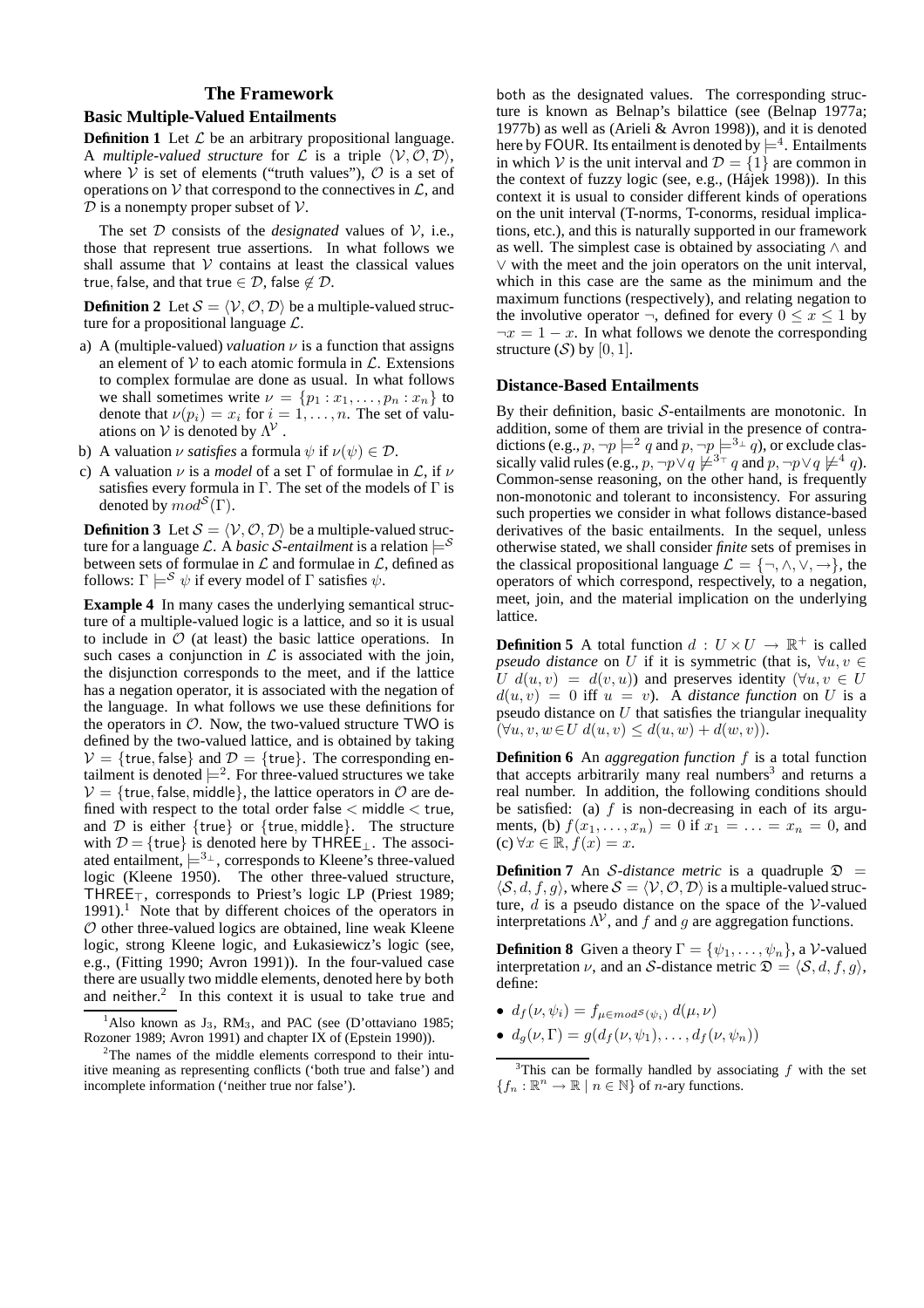## **The Framework**

### **Basic Multiple-Valued Entailments**

**Definition 1** Let  $\mathcal{L}$  be an arbitrary propositional language. A *multiple-valued structure* for  $\mathcal L$  is a triple  $\langle V, \mathcal O, \mathcal D \rangle$ , where  $V$  is set of elements ("truth values"),  $O$  is a set of operations on V that correspond to the connectives in  $\mathcal{L}$ , and  $D$  is a nonempty proper subset of  $V$ .

The set  $D$  consists of the *designated* values of  $V$ , i.e., those that represent true assertions. In what follows we shall assume that  $V$  contains at least the classical values true, false, and that true  $\in \mathcal{D}$ , false  $\notin \mathcal{D}$ .

**Definition 2** Let  $S = \langle V, \mathcal{O}, \mathcal{D} \rangle$  be a multiple-valued structure for a propositional language  $\mathcal{L}$ .

- a) A (multiple-valued) *valuation*  $\nu$  is a function that assigns an element of  $V$  to each atomic formula in  $\mathcal{L}$ . Extensions to complex formulae are done as usual. In what follows we shall sometimes write  $\nu = \{p_1 : x_1, \ldots, p_n : x_n\}$  to denote that  $\nu(p_i) = x_i$  for  $i = 1, ..., n$ . The set of valuations on  $V$  is denoted by  $\Lambda^V$ .
- b) A valuation  $\nu$  *satisfies* a formula  $\psi$  if  $\nu(\psi) \in \mathcal{D}$ .
- c) A valuation  $\nu$  is a *model* of a set  $\Gamma$  of formulae in  $\mathcal{L}$ , if  $\nu$ satisfies every formula in  $\Gamma$ . The set of the models of  $\Gamma$  is denoted by  $mod^{\mathcal{S}}(\Gamma)$ .

**Definition 3** Let  $S = \langle V, \mathcal{O}, \mathcal{D} \rangle$  be a multiple-valued structure for a language L. A *basic S-entailment* is a relation  $\models^S$ between sets of formulae in  $\mathcal L$  and formulae in  $\mathcal L$ , defined as follows:  $\Gamma \models^{\mathcal{S}} \psi$  if every model of  $\Gamma$  satisfies  $\psi$ .

**Example 4** In many cases the underlying semantical structure of a multiple-valued logic is a lattice, and so it is usual to include in  $\mathcal O$  (at least) the basic lattice operations. In such cases a conjunction in  $\mathcal L$  is associated with the join, the disjunction corresponds to the meet, and if the lattice has a negation operator, it is associated with the negation of the language. In what follows we use these definitions for the operators in  $\mathcal{O}$ . Now, the two-valued structure TWO is defined by the two-valued lattice, and is obtained by taking  $V = {true, false}$  and  $D = {true}.$  The corresponding entailment is denoted  $\models^2$ . For three-valued structures we take  $V = {true, false, middle},$  the lattice operators in O are defined with respect to the total order false  $\lt$  middle  $\lt$  true, and  $D$  is either {true} or {true, middle}. The structure with  $\mathcal{D} = \{ \text{true} \}$  is denoted here by THREE<sub>⊥</sub>. The associated entailment,  $\models^{3_\perp}$ , corresponds to Kleene's three-valued logic (Kleene 1950). The other three-valued structure, THREE⊤, corresponds to Priest's logic LP (Priest 1989;  $1991$ .<sup>1</sup> Note that by different choices of the operators in  $\mathcal O$  other three-valued logics are obtained, line weak Kleene logic, strong Kleene logic, and Łukasiewicz's logic (see, e.g., (Fitting 1990; Avron 1991)). In the four-valued case there are usually two middle elements, denoted here by both and neither. 2 In this context it is usual to take true and

both as the designated values. The corresponding structure is known as Belnap's bilattice (see (Belnap 1977a; 1977b) as well as (Arieli & Avron 1998)), and it is denoted here by FOUR. Its entailment is denoted by  $\models^4$ . Entailments in which V is the unit interval and  $\mathcal{D} = \{1\}$  are common in the context of fuzzy logic (see, e.g., (Hájek 1998)). In this context it is usual to consider different kinds of operations on the unit interval (T-norms, T-conorms, residual implications, etc.), and this is naturally supported in our framework as well. The simplest case is obtained by associating ∧ and ∨ with the meet and the join operators on the unit interval, which in this case are the same as the minimum and the maximum functions (respectively), and relating negation to the involutive operator  $\neg$ , defined for every  $0 \leq x \leq 1$  by  $\neg x = 1 - x$ . In what follows we denote the corresponding structure  $(S)$  by  $[0, 1]$ .

### **Distance-Based Entailments**

By their definition, basic  $S$ -entailments are monotonic. In addition, some of them are trivial in the presence of contradictions (e.g.,  $p, \neg p \models^2 q$  and  $p, \neg p \models^3\perp q$ ), or exclude classically valid rules (e.g.,  $p, \neg p \lor q \not\models^{3_\top} q$  and  $p, \neg p \lor q \not\models^4 q$ ). Common-sense reasoning, on the other hand, is frequently non-monotonic and tolerant to inconsistency. For assuring such properties we consider in what follows distance-based derivatives of the basic entailments. In the sequel, unless otherwise stated, we shall consider *finite* sets of premises in the classical propositional language  $\mathcal{L} = \{\neg, \wedge, \vee, \rightarrow\}$ , the operators of which correspond, respectively, to a negation, meet, join, and the material implication on the underlying lattice.

**Definition 5** A total function  $d: U \times U \rightarrow \mathbb{R}^+$  is called *pseudo distance* on U if it is symmetric (that is,  $\forall u, v \in$  $U d(u, v) = d(v, u)$  and preserves identity  $(\forall u, v \in U)$  $d(u, v) = 0$  iff  $u = v$ ). A *distance function* on U is a pseudo distance on  $U$  that satisfies the triangular inequality  $(\forall u, v, w \in U \, d(u, v) \leq d(u, w) + d(w, v)).$ 

**Definition 6** An *aggregation function* f is a total function that accepts arbitrarily many real numbers<sup>3</sup> and returns a real number. In addition, the following conditions should be satisfied: (a)  $f$  is non-decreasing in each of its arguments, (b)  $f(x_1, ..., x_n) = 0$  if  $x_1 = ... = x_n = 0$ , and (c)  $\forall x \in \mathbb{R}, f(x) = x.$ 

**Definition 7** An *S*-distance metric is a quadruple  $\mathfrak{D} =$  $\langle \mathcal{S}, d, f, g \rangle$ , where  $\mathcal{S} = \langle \mathcal{V}, \mathcal{O}, \mathcal{D} \rangle$  is a multiple-valued structure,  $d$  is a pseudo distance on the space of the V-valued interpretations  $\Lambda^{\mathcal{V}}$ , and f and g are aggregation functions.

**Definition 8** Given a theory  $\Gamma = {\psi_1, \dots, \psi_n}$ , a *V*-valued interpretation  $\nu$ , and an S-distance metric  $\mathfrak{D} = \langle \mathcal{S}, d, f, g \rangle$ , define:

- $d_f(\nu, \psi_i) = f_{\mu \in mod^{\mathcal{S}}(\psi_i)} d(\mu, \nu)$
- $d_q(\nu, \Gamma) = g(d_f(\nu, \psi_1), \ldots, d_f(\nu, \psi_n))$

<sup>&</sup>lt;sup>1</sup>Also known as  $J_3$ , RM<sub>3</sub>, and PAC (see (D'ottaviano 1985; Rozoner 1989; Avron 1991) and chapter IX of (Epstein 1990)).

 $2$ The names of the middle elements correspond to their intuitive meaning as representing conflicts ('both true and false') and incomplete information ('neither true nor false').

 $3$ This can be formally handled by associating  $f$  with the set  ${f_n : \mathbb{R}^n \to \mathbb{R} \mid n \in \mathbb{N} }$  of *n*-ary functions.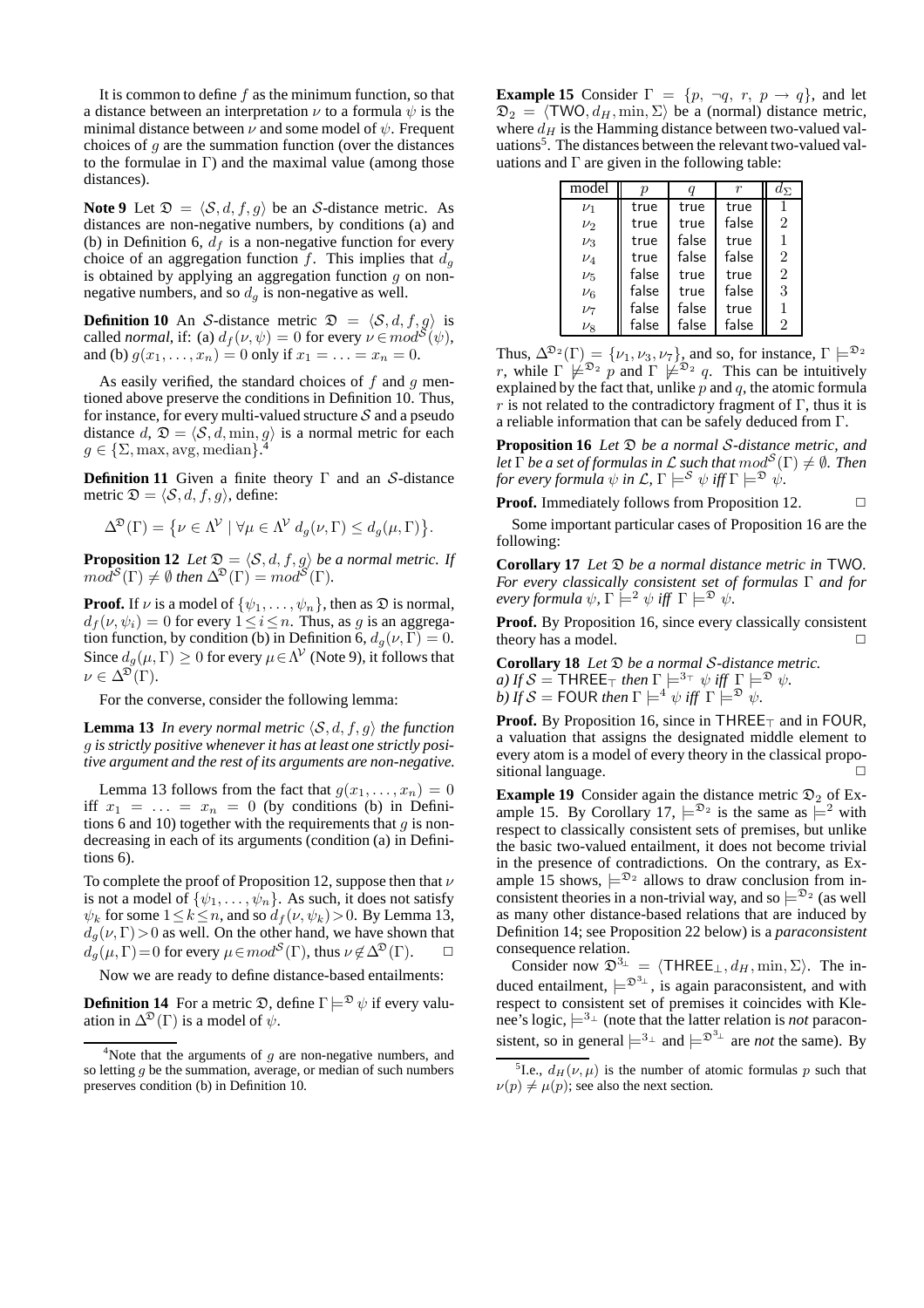It is common to define  $f$  as the minimum function, so that a distance between an interpretation  $\nu$  to a formula  $\psi$  is the minimal distance between  $\nu$  and some model of  $\psi$ . Frequent choices of  $g$  are the summation function (over the distances to the formulae in  $\Gamma$ ) and the maximal value (among those distances).

**Note 9** Let  $\mathfrak{D} = \langle \mathcal{S}, d, f, g \rangle$  be an S-distance metric. As distances are non-negative numbers, by conditions (a) and (b) in Definition 6,  $d_f$  is a non-negative function for every choice of an aggregation function f. This implies that  $d_g$ is obtained by applying an aggregation function  $g$  on nonnegative numbers, and so  $d<sub>g</sub>$  is non-negative as well.

**Definition 10** An S-distance metric  $\mathfrak{D} = \langle \mathcal{S}, d, f, g \rangle$  is called *normal*, if: (a)  $d_f(v, \psi) = 0$  for every  $v \in mod^{\mathcal{S}}(\psi)$ , and (b)  $g(x_1, ..., x_n) = 0$  only if  $x_1 = ... = x_n = 0$ .

As easily verified, the standard choices of  $f$  and  $g$  mentioned above preserve the conditions in Definition 10. Thus, for instance, for every multi-valued structure  $S$  and a pseudo distance  $d, \mathcal{D} = \langle \mathcal{S}, d, \min, g \rangle$  is a normal metric for each  $g \in \{S\}$  may awg median).  $g \in \{\Sigma, \max, \text{avg}, \text{median}\}.$ 

**Definition 11** Given a finite theory Γ and an S-distance metric  $\mathfrak{D} = \langle \mathcal{S}, d, f, g \rangle$ , define:

$$
\Delta^{\mathfrak{D}}(\Gamma) = \{ \nu \in \Lambda^{\mathcal{V}} \mid \forall \mu \in \Lambda^{\mathcal{V}} d_g(\nu, \Gamma) \leq d_g(\mu, \Gamma) \}.
$$

**Proposition 12** *Let*  $\mathfrak{D} = \langle \mathcal{S}, d, f, g \rangle$  *be a normal metric. If*  $mod^{\mathcal{S}}(\Gamma) \neq \emptyset$  then  $\Delta^{\mathfrak{D}}(\Gamma) = mod^{\mathcal{S}}(\Gamma)$ .

**Proof.** If  $\nu$  is a model of  $\{\psi_1, \ldots, \psi_n\}$ , then as  $\mathfrak{D}$  is normal,  $d_f(\nu, \psi_i) = 0$  for every  $1 \leq i \leq n$ . Thus, as g is an aggregation function, by condition (b) in Definition 6,  $d_g(\nu, \Gamma) = 0$ . Since  $d_g(\mu, \Gamma) \ge 0$  for every  $\mu \in \Lambda^{\mathcal{V}}$  (Note 9), it follows that  $\nu \in \Delta^{\mathfrak{D}}(\Gamma).$ 

For the converse, consider the following lemma:

**Lemma 13** *In every normal metric*  $\langle \mathcal{S}, d, f, g \rangle$  *the function* g *is strictly positive whenever it has at least one strictly positive argument and the rest of its arguments are non-negative.*

Lemma 13 follows from the fact that  $g(x_1, \ldots, x_n) = 0$ iff  $x_1 = \ldots = x_n = 0$  (by conditions (b) in Definitions 6 and 10) together with the requirements that  $q$  is nondecreasing in each of its arguments (condition (a) in Definitions 6).

To complete the proof of Proposition 12, suppose then that  $\nu$ is not a model of  $\{\psi_1, \dots, \psi_n\}$ . As such, it does not satisfy  $\psi_k$  for some  $1 \leq k \leq n$ , and so  $d_f(\nu, \psi_k) > 0$ . By Lemma 13,  $d_g(\nu, \Gamma) > 0$  as well. On the other hand, we have shown that  $d_g(\mu, \Gamma) = 0$  for every  $\mu \in mod^{\mathcal{S}}(\Gamma)$ , thus  $\nu \notin \Delta^{\mathfrak{D}}(\Gamma)$ .  $\Box$ 

Now we are ready to define distance-based entailments:

**Definition 14** For a metric  $\mathfrak{D}$ , define  $\Gamma \models^{\mathfrak{D}} \psi$  if every valuation in  $\Delta^{\mathfrak{D}}(\Gamma)$  is a model of  $\psi$ .

**Example 15** Consider  $\Gamma = \{p, \neg q, r, p \rightarrow q\}$ , and let  $\mathfrak{D}_2 = \langle \text{TWO}, d_H, \text{min}, \Sigma \rangle$  be a (normal) distance metric, where  $d_H$  is the Hamming distance between two-valued valuations<sup>5</sup>. The distances between the relevant two-valued valuations and  $\Gamma$  are given in the following table:

| model     |       |       |       | $d_{\Sigma}$   |
|-----------|-------|-------|-------|----------------|
| $\nu_1$   | true  | true  | true  |                |
| $\nu_2$   | true  | true  | false | $\overline{2}$ |
| $\nu_3$   | true  | false | true  | 1              |
| $\nu_4$   | true  | false | false | $\overline{2}$ |
| $\nu_{5}$ | false | true  | true  | $\overline{2}$ |
| $\nu_6$   | false | true  | false | 3              |
| $\nu_7$   | false | false | true  | 1              |
| $\nu_{8}$ | false | false | false | $\overline{2}$ |

Thus,  $\Delta^{\mathfrak{D}_2}(\Gamma) = {\nu_1, \nu_3, \nu_7}$ , and so, for instance,  $\Gamma \models^{\mathfrak{D}_2}$ r, while  $\Gamma \not\models^{\mathfrak{D}_2} p$  and  $\Gamma \not\models^{\mathfrak{D}_2} q$ . This can be intuitively explained by the fact that, unlike  $p$  and  $q$ , the atomic formula r is not related to the contradictory fragment of  $\Gamma$ , thus it is a reliable information that can be safely deduced from Γ.

**Proposition 16** *Let* D *be a normal* S*-distance metric, and* Let  $\overline{\Gamma}$  *be a set of formulas in*  ${\mathcal L}$  *such that*  $mod^{\mathcal S}(\Gamma) \neq \emptyset$  *. Then for every formula*  $\psi$  *in L,*  $\Gamma \models^{\mathcal{S}} \psi$  *iff*  $\Gamma \models^{\mathfrak{D}} \dot{\psi}$ .

**Proof.** Immediately follows from Proposition 12. □

Some important particular cases of Proposition 16 are the following:

**Corollary 17** *Let* D *be a normal distance metric in* TWO*. For every classically consistent set of formulas* Γ *and for every formula*  $\psi$ ,  $\Gamma \models^2 \psi$  *iff*  $\Gamma \models^{\mathfrak{D}} \psi$ .

**Proof.** By Proposition 16, since every classically consistent theory has a model.  $\Box$ 

**Corollary 18** *Let* D *be a normal* S*-distance metric. a)* If  $S = THREE_{\top}$  then  $\Gamma \models^{3_{\top}} \psi$  iff  $\Gamma \models^{\mathfrak{D}} \psi$ .  $b)$  If  $S =$  FOUR then  $\Gamma \models^{4} \psi$  iff  $\Gamma \stackrel{\sim}{\models} \mathcal{D}$   $\psi$ .

Proof. By Proposition 16, since in THREE<sub>⊤</sub> and in FOUR, a valuation that assigns the designated middle element to every atom is a model of every theory in the classical propositional language.

**Example 19** Consider again the distance metric  $\mathfrak{D}_2$  of Example 15. By Corollary 17,  $\models^{2_2}$  is the same as  $\models^2$  with respect to classically consistent sets of premises, but unlike the basic two-valued entailment, it does not become trivial in the presence of contradictions. On the contrary, as Example 15 shows,  $\models^{2_2}$  allows to draw conclusion from inconsistent theories in a non-trivial way, and so  $\models^{2_2}$  (as well as many other distance-based relations that are induced by Definition 14; see Proposition 22 below) is a *paraconsistent* consequence relation.

Consider now  $\mathfrak{D}^{3_{\perp}} = \langle \text{THREE}_{\perp}, d_H, \min, \Sigma \rangle$ . The induced entailment,  $\models^{\mathfrak{D}^{3} \perp}$ , is again paraconsistent, and with respect to consistent set of premises it coincides with Klenee's logic,  $\models^{3_\perp}$  (note that the latter relation is *not* paraconsistent, so in general  $\models^{3_\perp}$  and  $\models^{3_\perp}$  are *not* the same). By

<sup>&</sup>lt;sup>4</sup>Note that the arguments of  $q$  are non-negative numbers, and so letting  $q$  be the summation, average, or median of such numbers preserves condition (b) in Definition 10.

<sup>&</sup>lt;sup>5</sup>I.e.,  $d_H(\nu,\mu)$  is the number of atomic formulas p such that  $\nu(p) \neq \mu(p)$ ; see also the next section.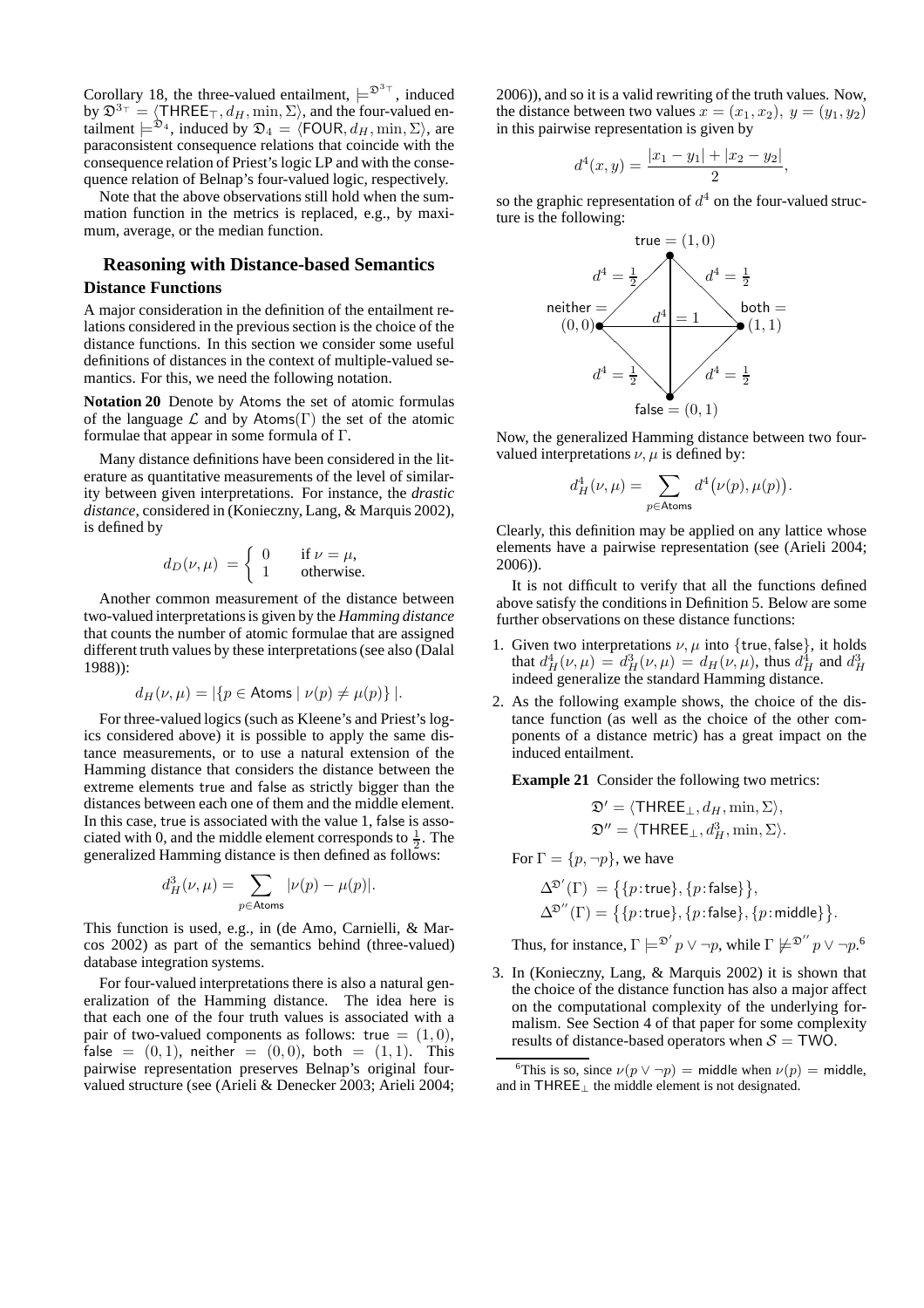Corollary 18, the three-valued entailment,  $\models^{\mathfrak{D}^{3+}}$ , induced by  $\mathfrak{D}^{3\tau} = \langle \text{THREE}_{\tau}, d_H, \min, \Sigma \rangle$ , and the four-valued entailment  $\models^{\mathfrak{D}_4}$ , induced by  $\mathfrak{D}_4 = \langle \mathsf{FOUR}, d_H, \min, \Sigma \rangle$ , are paraconsistent consequence relations that coincide with the consequence relation of Priest's logic LP and with the consequence relation of Belnap's four-valued logic, respectively.

Note that the above observations still hold when the summation function in the metrics is replaced, e.g., by maximum, average, or the median function.

## **Reasoning with Distance-based Semantics**

### **Distance Functions**

A major consideration in the definition of the entailment relations considered in the previous section is the choice of the distance functions. In this section we consider some useful definitions of distances in the context of multiple-valued semantics. For this, we need the following notation.

**Notation 20** Denote by Atoms the set of atomic formulas of the language  $\mathcal L$  and by Atoms(Γ) the set of the atomic formulae that appear in some formula of Γ.

Many distance definitions have been considered in the literature as quantitative measurements of the level of similarity between given interpretations. For instance, the *drastic distance*, considered in (Konieczny, Lang, & Marquis 2002), is defined by

$$
d_D(\nu,\mu) = \begin{cases} 0 & \text{if } \nu = \mu, \\ 1 & \text{otherwise.} \end{cases}
$$

Another common measurement of the distance between two-valued interpretations is given by the *Hamming distance* that counts the number of atomic formulae that are assigned different truth values by these interpretations (see also (Dalal 1988)):

$$
d_H(\nu,\mu) = |\{p \in \text{Atoms} \mid \nu(p) \neq \mu(p)\}|.
$$

For three-valued logics (such as Kleene's and Priest's logics considered above) it is possible to apply the same distance measurements, or to use a natural extension of the Hamming distance that considers the distance between the extreme elements true and false as strictly bigger than the distances between each one of them and the middle element. In this case, true is associated with the value 1, false is associated with 0, and the middle element corresponds to  $\frac{1}{2}$ . The generalized Hamming distance is then defined as follows:

$$
d_H^3(\nu,\mu) = \sum_{p \in \text{Atoms}} |\nu(p) - \mu(p)|.
$$

This function is used, e.g., in (de Amo, Carnielli, & Marcos 2002) as part of the semantics behind (three-valued) database integration systems.

For four-valued interpretations there is also a natural generalization of the Hamming distance. The idea here is that each one of the four truth values is associated with a pair of two-valued components as follows: true  $= (1, 0)$ , false =  $(0, 1)$ , neither =  $(0, 0)$ , both =  $(1, 1)$ . This pairwise representation preserves Belnap's original fourvalued structure (see (Arieli & Denecker 2003; Arieli 2004; 2006)), and so it is a valid rewriting of the truth values. Now, the distance between two values  $x = (x_1, x_2), y = (y_1, y_2)$ in this pairwise representation is given by

$$
d^4(x,y) = \frac{|x_1 - y_1| + |x_2 - y_2|}{2},
$$

so the graphic representation of  $d^4$  on the four-valued structure is the following:



Now, the generalized Hamming distance between two fourvalued interpretations  $\nu$ ,  $\mu$  is defined by:

$$
d_H^4(\nu,\mu) = \sum_{p \in \text{Atoms}} d^4(\nu(p), \mu(p)).
$$

Clearly, this definition may be applied on any lattice whose elements have a pairwise representation (see (Arieli 2004; 2006)).

It is not difficult to verify that all the functions defined above satisfy the conditions in Definition 5. Below are some further observations on these distance functions:

- 1. Given two interpretations  $\nu, \mu$  into {true, false}, it holds that  $d_H^4(\nu, \mu) = d_H^3(\nu, \mu) = d_H(\nu, \mu)$ , thus  $d_H^4$  and  $d_H^3$ indeed generalize the standard Hamming distance.
- 2. As the following example shows, the choice of the distance function (as well as the choice of the other components of a distance metric) has a great impact on the induced entailment.

**Example 21** Consider the following two metrics:

$$
\begin{aligned} \mathfrak{D}' &= \langle \mathsf{THREE}_\bot, d_H, \min, \Sigma \rangle, \\ \mathfrak{D}'' &= \langle \mathsf{THREE}_\bot, d^3_H, \min, \Sigma \rangle. \end{aligned}
$$

For 
$$
\Gamma = \{p, \neg p\}
$$
, we have

$$
\begin{aligned} \Delta^{\mathfrak{D}'}(\Gamma) \,&=\big\{\{p:\mathsf{true}\},\{p:\mathsf{false}\}\big\},\\ \Delta^{\mathfrak{D}''}(\Gamma) &=\big\{\{p:\mathsf{true}\},\{p:\mathsf{false}\},\{p:\mathsf{middle}\}\big\}. \end{aligned}
$$

Thus, for instance,  $\Gamma \models^{\mathfrak{D}'} p \vee \neg p$ , while  $\Gamma \not\models^{\mathfrak{D}''} p \vee \neg p$ .<sup>6</sup>

3. In (Konieczny, Lang, & Marquis 2002) it is shown that the choice of the distance function has also a major affect on the computational complexity of the underlying formalism. See Section 4 of that paper for some complexity results of distance-based operators when  $S = TWO$ .

<sup>&</sup>lt;sup>6</sup>This is so, since  $\nu(p \lor \neg p)$  = middle when  $\nu(p)$  = middle, and in THREE⊥ the middle element is not designated.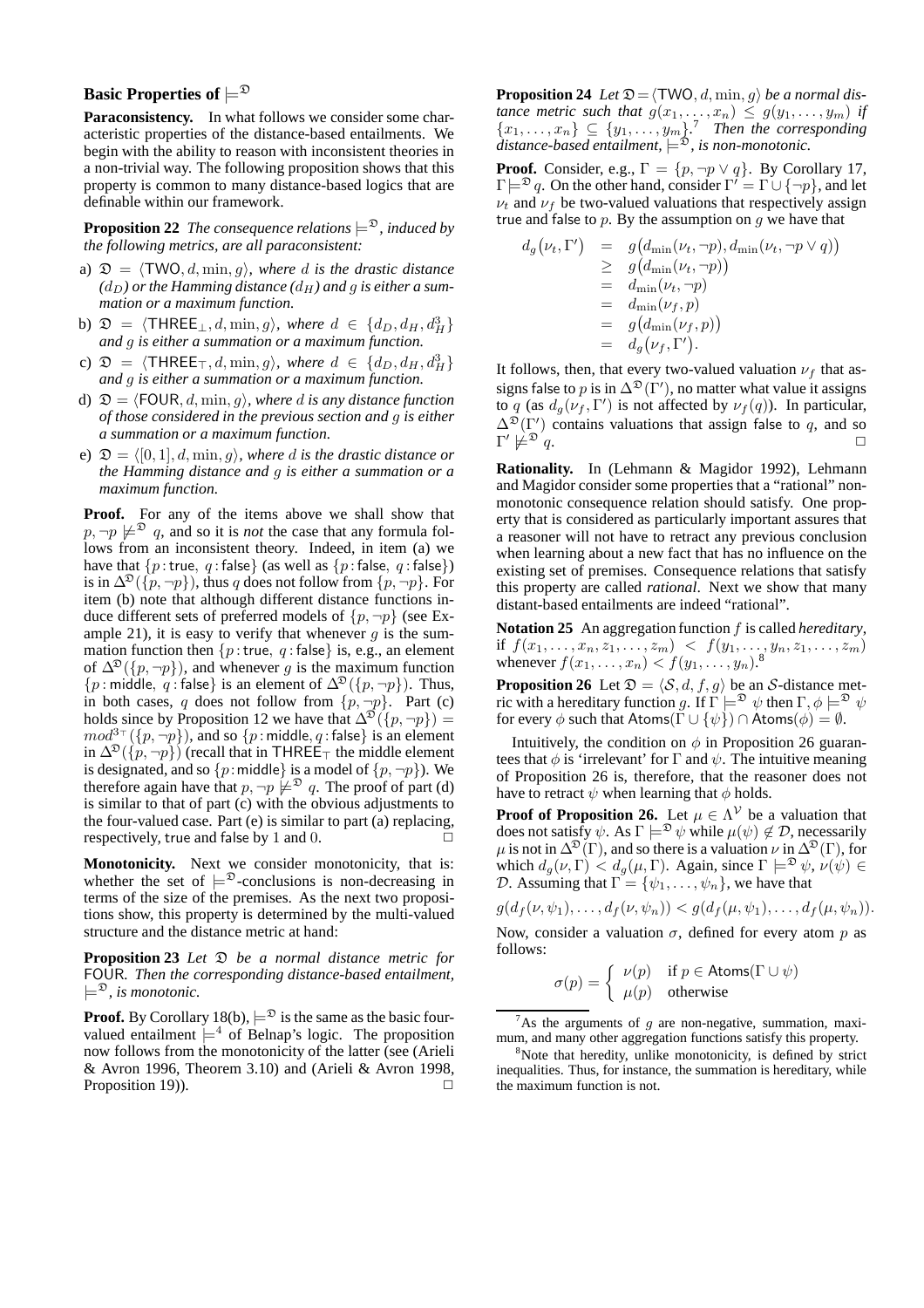## **Basic Properties of**  $\models^{\mathfrak{D}}$

**Paraconsistency.** In what follows we consider some characteristic properties of the distance-based entailments. We begin with the ability to reason with inconsistent theories in a non-trivial way. The following proposition shows that this property is common to many distance-based logics that are definable within our framework.

**Proposition 22** *The consequence relations*  $\models^{\mathfrak{D}}$ *, induced by the following metrics, are all paraconsistent:*

- a)  $\mathfrak{D} = \langle \text{TWO}, d, \min, g \rangle$ *, where d is the drastic distance*  $(d_D)$  or the Hamming distance  $(d_H)$  and q is either a sum*mation or a maximum function.*
- b)  $\mathfrak{D} = \langle \mathsf{THREE}_{\perp}, d, \min, g \rangle$ *, where*  $d \in \{d_D, d_H, d_H^3\}$ *and* g *is either a summation or a maximum function.*
- c)  $\mathfrak{D} = \langle \text{THREE}_{\top}, d, \min, g \rangle$ *, where*  $d \in \{d_D, d_H, d_H^3\}$ *and* g *is either a summation or a maximum function.*
- d)  $\mathfrak{D} = \langle \text{FOUR}, d, \min, g \rangle$ *, where d is any distance function of those considered in the previous section and* g *is either a summation or a maximum function.*
- e)  $\mathfrak{D} = \langle [0, 1], d, \min, g \rangle$ *, where d is the drastic distance or the Hamming distance and* g *is either a summation or a maximum function.*

**Proof.** For any of the items above we shall show that  $p, \neg p \not\models^{\mathfrak{D}} q$ , and so it is *not* the case that any formula follows from an inconsistent theory. Indeed, in item (a) we have that  $\{p:\text{true}, q:\text{false}\}\$  (as well as  $\{p:\text{false}, q:\text{false}\}\$ ) is in  $\Delta^{2}(\{p, \neg p\})$ , thus q does not follow from  $\{p, \neg p\}$ . For item (b) note that although different distance functions induce different sets of preferred models of  $\{p, \neg p\}$  (see Example 21), it is easy to verify that whenever  $g$  is the summation function then  $\{p : \text{true}, q : \text{false}\}$  is, e.g., an element of  $\Delta^{D}(\lbrace p, \neg p \rbrace)$ , and whenever g is the maximum function  $\{p : \text{middle}, q : \text{false}\}\$ is an element of  $\Delta^{\mathfrak{D}}(\{p, \neg p\})$ . Thus, in both cases, q does not follow from  $\{p, \neg p\}$ . Part (c) holds since by Proposition 12 we have that  $\Delta^{2}(\lbrace p, \neg p \rbrace) =$  $mod^{3-}(\lbrace p, \neg p \rbrace)$ , and so  $\lbrace p \colon \text{middle}, q \colon \text{false} \rbrace$  is an element in  $\Delta^{\mathfrak{D}}(\{p, \neg p\})$  (recall that in THREE<sub>⊤</sub> the middle element is designated, and so  $\{p:\text{middle}\}\$ is a model of  $\{p, \neg p\}$ ). We therefore again have that  $p, \neg p \not\models^{\mathfrak{D}} q$ . The proof of part (d) is similar to that of part (c) with the obvious adjustments to the four-valued case. Part (e) is similar to part (a) replacing, respectively, true and false by  $1$  and  $0$ .

**Monotonicity.** Next we consider monotonicity, that is: whether the set of  $\models^{\mathfrak{D}}$ -conclusions is non-decreasing in terms of the size of the premises. As the next two propositions show, this property is determined by the multi-valued structure and the distance metric at hand:

**Proposition 23** *Let*  $\mathfrak{D}$  *be a normal distance metric for* FOUR*. Then the corresponding distance-based entailment,*  $\models^{\mathfrak{D}}$ , is monotonic.

**Proof.** By Corollary 18(b),  $\models^{\mathfrak{D}}$  is the same as the basic fourvalued entailment  $\models^4$  of Belnap's logic. The proposition now follows from the monotonicity of the latter (see (Arieli & Avron 1996, Theorem 3.10) and (Arieli & Avron 1998, Proposition 19)).  $\Box$  **Proposition 24** *Let*  $\mathfrak{D} = \langle \text{TWO}, d, \min, g \rangle$  *be a normal distance metric such that*  $g(x_1, \ldots, x_n) \leq g(y_1, \ldots, y_m)$  *if*  ${x_1, \ldots, x_n} \subseteq {y_1, \ldots, y_m}$ <sup>7</sup> Then the corresponding  $\lim_{\delta \to 0}$   $\lim_{\delta \to 0}$   $\lim_{\delta \to 0}$ , is non-monotonic.

**Proof.** Consider, e.g.,  $\Gamma = \{p, \neg p \lor q\}$ . By Corollary 17,  $\Gamma \models^{\mathfrak{D}} q$ . On the other hand, consider  $\Gamma' = \Gamma \cup \{\neg p\}$ , and let  $\nu_t$  and  $\nu_f$  be two-valued valuations that respectively assign true and false to  $p$ . By the assumption on  $q$  we have that

$$
d_g(\nu_t, \Gamma') = g(d_{\min}(\nu_t, \neg p), d_{\min}(\nu_t, \neg p \vee q))
$$
  
\n
$$
\geq g(d_{\min}(\nu_t, \neg p))
$$
  
\n
$$
= d_{\min}(\nu_t, \neg p)
$$
  
\n
$$
= d_{\min}(\nu_f, p)
$$
  
\n
$$
= g(d_{\min}(\nu_f, p))
$$
  
\n
$$
= d_g(\nu_f, \Gamma').
$$

It follows, then, that every two-valued valuation  $\nu_f$  that assigns false to p is in  $\Delta^{\mathfrak{D}}(\Gamma'),$  no matter what value it assigns to q (as  $d_g(\nu_f, \Gamma')$  is not affected by  $\nu_f(q)$ ). In particular,  $\Delta^{\mathfrak{D}}(\Gamma')$  contains valuations that assign false to q, and so  $\Gamma' \not\models^{\mathfrak{D}} q.$ 

**Rationality.** In (Lehmann & Magidor 1992), Lehmann and Magidor consider some properties that a "rational" nonmonotonic consequence relation should satisfy. One property that is considered as particularly important assures that a reasoner will not have to retract any previous conclusion when learning about a new fact that has no influence on the existing set of premises. Consequence relations that satisfy this property are called *rational*. Next we show that many distant-based entailments are indeed "rational".

**Notation 25** An aggregation function f is called *hereditary*, if  $f(x_1, \ldots, x_n, z_1, \ldots, z_m) < f(y_1, \ldots, y_n, z_1, \ldots, z_m)$ whenever  $f(x_1, \ldots, x_n) < f(y_1, \ldots, y_n)$ .

**Proposition 26** Let  $\mathcal{D} = \langle \mathcal{S}, d, f, g \rangle$  be an S-distance metric with a hereditary function g. If  $\Gamma \models^{\mathfrak{D}} \psi$  then  $\Gamma, \phi \models^{\mathfrak{D}} \psi$ for every  $\phi$  such that Atoms( $\Gamma \cup {\psi}$ )  $\cap$  Atoms( $\phi$ ) =  $\emptyset$ .

Intuitively, the condition on  $\phi$  in Proposition 26 guarantees that  $\phi$  is 'irrelevant' for  $\Gamma$  and  $\psi$ . The intuitive meaning of Proposition 26 is, therefore, that the reasoner does not have to retract  $\psi$  when learning that  $\phi$  holds.

**Proof of Proposition 26.** Let  $\mu \in \Lambda^{\mathcal{V}}$  be a valuation that does not satisfy  $\psi$ . As  $\Gamma \models^{\mathfrak{D}} \psi$  while  $\mu(\psi) \notin \mathcal{D}$ , necessarily  $\mu$  is not in  $\Delta^{\mathfrak{D}}(\Gamma)$ , and so there is a valuation  $\nu$  in  $\Delta^{\mathfrak{D}}(\Gamma)$ , for which  $d_g(\nu, \Gamma) < d_g(\mu, \Gamma)$ . Again, since  $\Gamma \models^{\mathfrak{D}} \psi$ ,  $\nu(\psi) \in$ D. Assuming that  $\Gamma = {\psi_1, \ldots, \psi_n}$ , we have that

 $g(d_f(\nu, \psi_1), \ldots, d_f(\nu, \psi_n)) < g(d_f(\mu, \psi_1), \ldots, d_f(\mu, \psi_n)).$ Now, consider a valuation  $\sigma$ , defined for every atom p as follows:

$$
\sigma(p) = \begin{cases} \nu(p) & \text{if } p \in \text{Atoms}(\Gamma \cup \psi) \\ \mu(p) & \text{otherwise} \end{cases}
$$

As the arguments of  $g$  are non-negative, summation, maximum, and many other aggregation functions satisfy this property.

<sup>&</sup>lt;sup>8</sup>Note that heredity, unlike monotonicity, is defined by strict inequalities. Thus, for instance, the summation is hereditary, while the maximum function is not.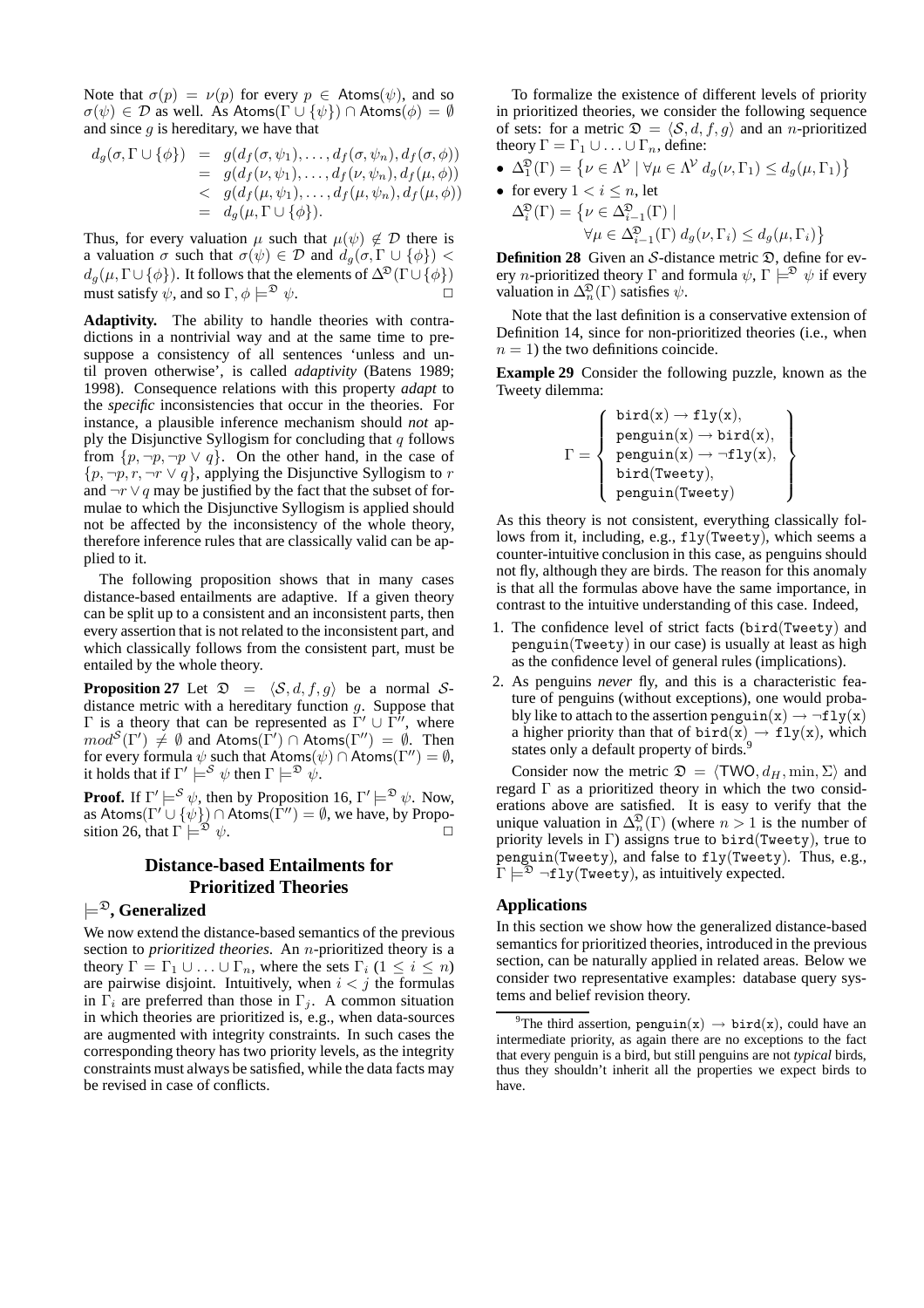Note that  $\sigma(p) = \nu(p)$  for every  $p \in$  Atoms( $\psi$ ), and so  $\sigma(\psi) \in \mathcal{D}$  as well. As Atoms( $\Gamma \cup {\psi}$ )  $\cap$  Atoms( $\phi$ ) = Ø and since  $g$  is hereditary, we have that

$$
d_g(\sigma, \Gamma \cup \{\phi\}) = g(d_f(\sigma, \psi_1), \dots, d_f(\sigma, \psi_n), d_f(\sigma, \phi))
$$
  
=  $g(d_f(\nu, \psi_1), \dots, d_f(\nu, \psi_n), d_f(\mu, \phi))$   
<  $g(d_f(\mu, \psi_1), \dots, d_f(\mu, \psi_n), d_f(\mu, \phi))$   
=  $d_g(\mu, \Gamma \cup \{\phi\}).$ 

Thus, for every valuation  $\mu$  such that  $\mu(\psi) \notin \mathcal{D}$  there is a valuation  $\sigma$  such that  $\sigma(\psi) \in \mathcal{D}$  and  $d_g(\sigma, \Gamma \cup \{\phi\})$  <  $d_g(\mu, \Gamma \cup {\phi})$ . It follows that the elements of  $\Delta^{\mathfrak{D}}(\Gamma \cup {\phi})$ must satisfy  $\psi$ , and so  $\Gamma$ ,  $\phi \models^{\mathfrak{D}} \psi$ .

**Adaptivity.** The ability to handle theories with contradictions in a nontrivial way and at the same time to presuppose a consistency of all sentences 'unless and until proven otherwise', is called *adaptivity* (Batens 1989; 1998). Consequence relations with this property *adapt* to the *specific* inconsistencies that occur in the theories. For instance, a plausible inference mechanism should *not* apply the Disjunctive Syllogism for concluding that  $q$  follows from  $\{p, \neg p, \neg p \lor q\}$ . On the other hand, in the case of  $\{p, \neg p, r, \neg r \lor q\}$ , applying the Disjunctive Syllogism to r and  $\neg r \lor q$  may be justified by the fact that the subset of formulae to which the Disjunctive Syllogism is applied should not be affected by the inconsistency of the whole theory, therefore inference rules that are classically valid can be applied to it.

The following proposition shows that in many cases distance-based entailments are adaptive. If a given theory can be split up to a consistent and an inconsistent parts, then every assertion that is not related to the inconsistent part, and which classically follows from the consistent part, must be entailed by the whole theory.

**Proposition 27** Let  $\mathfrak{D} = \langle \mathcal{S}, d, f, g \rangle$  be a normal Sdistance metric with a hereditary function  $g$ . Suppose that  $Γ$  is a theory that can be represented as  $\Gamma' \cup \Gamma''$ , where  $mod^{\mathcal{S}}(\Gamma') \neq \emptyset$  and Atoms $(\Gamma') \cap$  Atoms $(\Gamma'') = \emptyset$ . Then for every formula  $\psi$  such that Atoms( $\psi$ ) ∩ Atoms( $\Gamma''$ ) =  $\emptyset$ , it holds that if  $\Gamma' \models^{\mathcal{S}} \psi$  then  $\Gamma \models^{\mathfrak{D}} \psi$ .

**Proof.** If  $\Gamma' \models^{\mathcal{S}} \psi$ , then by Proposition 16,  $\Gamma' \models^{\mathfrak{D}} \psi$ . Now, as Atoms( $\Gamma' \cup \{\psi\}) \cap$  Atoms( $\Gamma'') = \emptyset$ , we have, by Proposition 26, that  $\Gamma \models^{\mathfrak{D}} \psi$ .

## **Distance-based Entailments for Prioritized Theories**

## $\models^{\mathfrak{D}}$ , Generalized

We now extend the distance-based semantics of the previous section to *prioritized theories*. An n-prioritized theory is a theory  $\Gamma = \Gamma_1 \cup ... \cup \Gamma_n$ , where the sets  $\Gamma_i$  ( $1 \leq i \leq n$ ) are pairwise disjoint. Intuitively, when  $i < j$  the formulas in  $\Gamma_i$  are preferred than those in  $\Gamma_i$ . A common situation in which theories are prioritized is, e.g., when data-sources are augmented with integrity constraints. In such cases the corresponding theory has two priority levels, as the integrity constraints must always be satisfied, while the data facts may be revised in case of conflicts.

To formalize the existence of different levels of priority in prioritized theories, we consider the following sequence of sets: for a metric  $\mathfrak{D} = \langle \mathcal{S}, d, f, g \rangle$  and an *n*-prioritized theory  $\Gamma = \Gamma_1 \cup ... \cup \Gamma_n$ , define:

•  $\Delta_1^{\mathfrak{D}}(\Gamma) = \{ \nu \in \Lambda^{\mathcal{V}} \mid \forall \mu \in \Lambda^{\mathcal{V}} d_g(\nu, \Gamma_1) \leq d_g(\mu, \Gamma_1) \}$ 

• for every 
$$
1 < i \le n
$$
, let  
\n
$$
\Delta_i^{\mathfrak{D}}(\Gamma) = \{ \nu \in \Delta_{i-1}^{\mathfrak{D}}(\Gamma) \mid
$$
\n
$$
\forall \mu \in \Delta_{i-1}^{\mathfrak{D}}(\Gamma) d_g(\nu, \Gamma_i) \le d_g(\mu, \Gamma_i) \}
$$

**Definition 28** Given an S-distance metric  $\mathfrak{D}$ , define for every *n*-prioritized theory Γ and formula  $\psi$ ,  $\Gamma \models^{\mathfrak{D}} \psi$  if every valuation in  $\Delta_n^{\mathfrak{D}}(\Gamma)$  satisfies  $\psi$ .

Note that the last definition is a conservative extension of Definition 14, since for non-prioritized theories (i.e., when  $n = 1$ ) the two definitions coincide.

**Example 29** Consider the following puzzle, known as the Tweety dilemma:

$$
\Gamma = \left\{ \begin{array}{ll} \texttt{bird(x)} \rightarrow \texttt{fly(x)}, \\ \texttt{penguin(x)} \rightarrow \texttt{bird(x)}, \\ \texttt{penguin(x)} \rightarrow \neg \texttt{fly(x)}, \\ \texttt{bird(Tweety)}, \\ \texttt{penguin(Tweety)} \end{array} \right\}
$$

As this theory is not consistent, everything classically follows from it, including, e.g., fly(Tweety), which seems a counter-intuitive conclusion in this case, as penguins should not fly, although they are birds. The reason for this anomaly is that all the formulas above have the same importance, in contrast to the intuitive understanding of this case. Indeed,

- 1. The confidence level of strict facts (bird(Tweety) and penguin(Tweety) in our case) is usually at least as high as the confidence level of general rules (implications).
- 2. As penguins *never* fly, and this is a characteristic feature of penguins (without exceptions), one would probably like to attach to the assertion penguin(x)  $\rightarrow \neg \texttt{fly}(x)$ a higher priority than that of  $\text{bird}(x) \rightarrow \text{fly}(x)$ , which states only a default property of birds.<sup>9</sup>

Consider now the metric  $\mathfrak{D} = \langle TWO, d_H, \min, \Sigma \rangle$  and regard  $\Gamma$  as a prioritized theory in which the two considerations above are satisfied. It is easy to verify that the unique valuation in  $\Delta_n^{\mathfrak{D}}(\Gamma)$  (where  $n > 1$  is the number of priority levels in Γ) assigns true to bird(Tweety), true to penguin(Tweety), and false to fly(Tweety). Thus, e.g.,  $\Gamma \models^{\mathfrak{D}} \neg \mathtt{fly}(\mathtt{Tweety})$ , as intuitively expected.

## **Applications**

In this section we show how the generalized distance-based semantics for prioritized theories, introduced in the previous section, can be naturally applied in related areas. Below we consider two representative examples: database query systems and belief revision theory.

<sup>&</sup>lt;sup>9</sup>The third assertion, penguin(x)  $\rightarrow$  bird(x), could have an intermediate priority, as again there are no exceptions to the fact that every penguin is a bird, but still penguins are not *typical* birds, thus they shouldn't inherit all the properties we expect birds to have.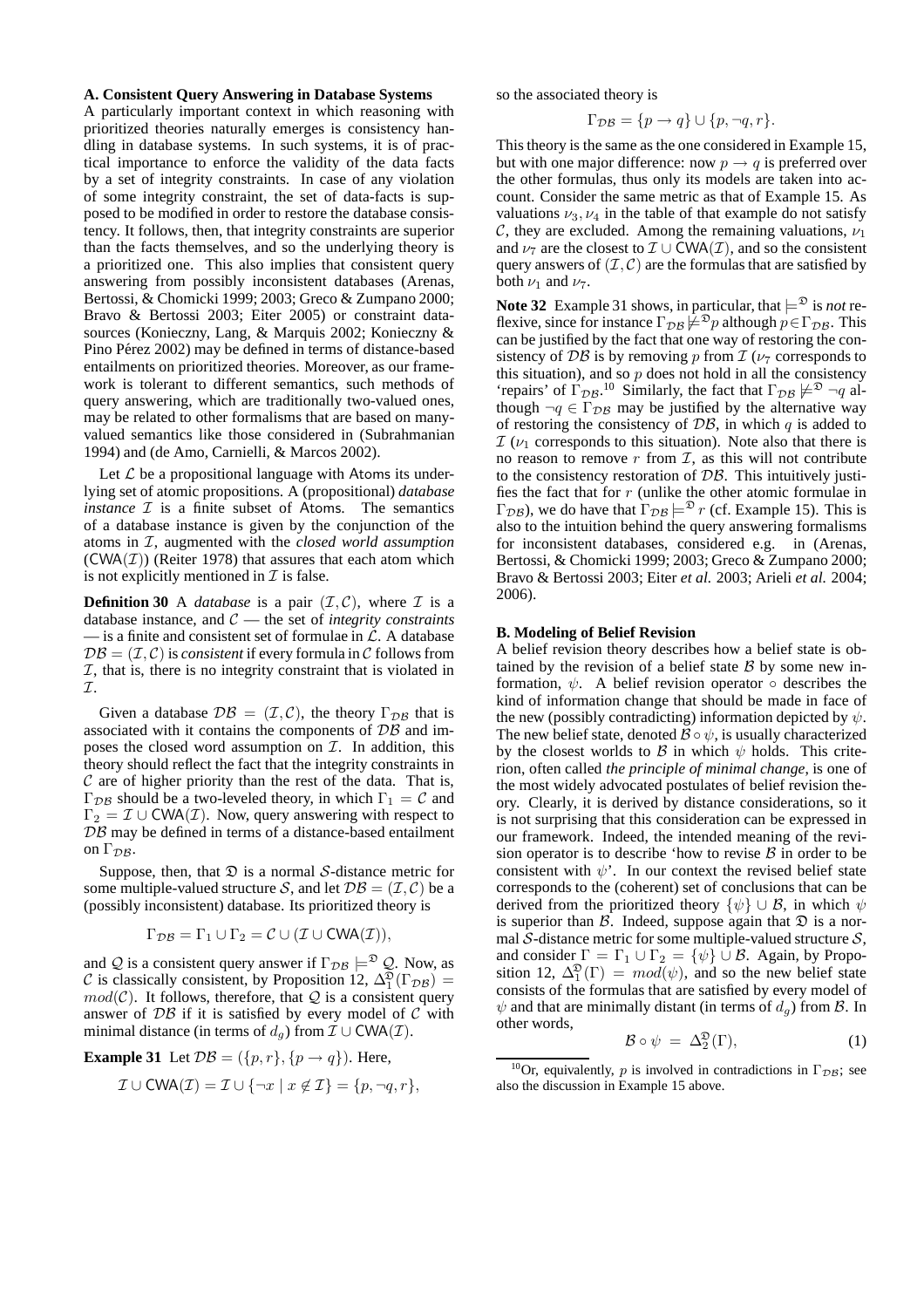#### **A. Consistent Query Answering in Database Systems**

A particularly important context in which reasoning with prioritized theories naturally emerges is consistency handling in database systems. In such systems, it is of practical importance to enforce the validity of the data facts by a set of integrity constraints. In case of any violation of some integrity constraint, the set of data-facts is supposed to be modified in order to restore the database consistency. It follows, then, that integrity constraints are superior than the facts themselves, and so the underlying theory is a prioritized one. This also implies that consistent query answering from possibly inconsistent databases (Arenas, Bertossi, & Chomicki 1999; 2003; Greco & Zumpano 2000; Bravo & Bertossi 2003; Eiter 2005) or constraint datasources (Konieczny, Lang, & Marquis 2002; Konieczny & Pino Pérez 2002) may be defined in terms of distance-based entailments on prioritized theories. Moreover, as our framework is tolerant to different semantics, such methods of query answering, which are traditionally two-valued ones, may be related to other formalisms that are based on manyvalued semantics like those considered in (Subrahmanian 1994) and (de Amo, Carnielli, & Marcos 2002).

Let  $\mathcal L$  be a propositional language with Atoms its underlying set of atomic propositions. A (propositional) *database instance*  $I$  is a finite subset of Atoms. The semantics of a database instance is given by the conjunction of the atoms in I, augmented with the *closed world assumption*  $(CWA(\mathcal{I}))$  (Reiter 1978) that assures that each atom which is not explicitly mentioned in  $\mathcal I$  is false.

**Definition 30** A *database* is a pair  $(\mathcal{I}, \mathcal{C})$ , where  $\mathcal{I}$  is a database instance, and C — the set of *integrity constraints*  $\overline{\phantom{a}}$  is a finite and consistent set of formulae in  $\mathcal{L}$ . A database  $\mathcal{DB} = (\mathcal{I}, \mathcal{C})$  is *consistent* if every formula in  $\mathcal{C}$  follows from  $I$ , that is, there is no integrity constraint that is violated in I.

Given a database  $\mathcal{DB} = (\mathcal{I}, \mathcal{C})$ , the theory  $\Gamma_{\mathcal{DB}}$  that is associated with it contains the components of DB and imposes the closed word assumption on  $\mathcal{I}$ . In addition, this theory should reflect the fact that the integrity constraints in  $C$  are of higher priority than the rest of the data. That is, Γ<sub>DB</sub> should be a two-leveled theory, in which  $Γ_1 = C$  and  $\Gamma_2 = \mathcal{I} \cup \text{CWA}(\mathcal{I})$ . Now, query answering with respect to  $DB$  may be defined in terms of a distance-based entailment on  $\Gamma_{\mathcal{D}\mathcal{B}}$ .

Suppose, then, that  $\mathcal D$  is a normal S-distance metric for some multiple-valued structure S, and let  $\mathcal{DB} = (\mathcal{I}, \mathcal{C})$  be a (possibly inconsistent) database. Its prioritized theory is

$$
\Gamma_{\mathcal{DB}} = \Gamma_1 \cup \Gamma_2 = \mathcal{C} \cup (\mathcal{I} \cup \text{CWA}(\mathcal{I})),
$$

and Q is a consistent query answer if  $\Gamma_{\mathcal{DB}} \models^{\mathfrak{D}} \mathcal{Q}$ . Now, as C is classically consistent, by Proposition 12,  $\Delta_1^{\mathfrak{D}}(\Gamma_{\mathcal{DB}})$  =  $mod(\mathcal{C})$ . It follows, therefore, that  $\mathcal{Q}$  is a consistent query answer of  $\mathcal{DB}$  if it is satisfied by every model of C with minimal distance (in terms of  $d_q$ ) from  $\mathcal{I} \cup \text{CWA}(\mathcal{I})$ .

**Example 31** Let  $\mathcal{DB} = (\{p, r\}, \{p \rightarrow q\})$ . Here,

$$
\mathcal{I} \cup \text{CWA}(\mathcal{I}) = \mathcal{I} \cup \{\neg x \mid x \notin \mathcal{I}\} = \{p, \neg q, r\},\
$$

so the associated theory is

$$
\Gamma_{\mathcal{DB}} = \{p \to q\} \cup \{p, \neg q, r\}.
$$

This theory is the same as the one considered in Example 15, but with one major difference: now  $p \rightarrow q$  is preferred over the other formulas, thus only its models are taken into account. Consider the same metric as that of Example 15. As valuations  $\nu_3, \nu_4$  in the table of that example do not satisfy C, they are excluded. Among the remaining valuations,  $\nu_1$ and  $\nu_7$  are the closest to  $\mathcal{I} \cup \text{CWA}(\mathcal{I})$ , and so the consistent query answers of  $(\mathcal{I}, \mathcal{C})$  are the formulas that are satisfied by both  $\nu_1$  and  $\nu_7$ .

**Note 32** Example 31 shows, in particular, that  $\models^{\mathfrak{D}}$  is *not* reflexive, since for instance  $\Gamma_{\mathcal{DB}} \neq^{\mathfrak{D}} p$  although  $p \in \Gamma_{\mathcal{DB}}$ . This can be justified by the fact that one way of restoring the consistency of DB is by removing p from  $\mathcal{I}(\nu_7)$  corresponds to this situation), and so  $p$  does not hold in all the consistency 'repairs' of  $\Gamma_{\mathcal{DB}}^{0}$ .<sup>10</sup> Similarly, the fact that  $\Gamma_{\mathcal{DB}} \not\models^{\mathfrak{D}} \neg q$  although  $\neg q \in \Gamma_{\mathcal{DB}}$  may be justified by the alternative way of restoring the consistency of  $\mathcal{DB}$ , in which q is added to  $I(\nu_1)$  corresponds to this situation). Note also that there is no reason to remove  $r$  from  $\mathcal{I}$ , as this will not contribute to the consistency restoration of  $\mathcal{DB}$ . This intuitively justifies the fact that for r (unlike the other atomic formulae in  $\Gamma_{\mathcal{DB}}$ ), we do have that  $\Gamma_{\mathcal{DB}} \models^{\mathfrak{D}} r$  (cf. Example 15). This is also to the intuition behind the query answering formalisms for inconsistent databases, considered e.g. in (Arenas, Bertossi, & Chomicki 1999; 2003; Greco & Zumpano 2000; Bravo & Bertossi 2003; Eiter *et al.* 2003; Arieli *et al.* 2004; 2006).

#### **B. Modeling of Belief Revision**

A belief revision theory describes how a belief state is obtained by the revision of a belief state  $\beta$  by some new information,  $\psi$ . A belief revision operator  $\circ$  describes the kind of information change that should be made in face of the new (possibly contradicting) information depicted by  $\psi$ . The new belief state, denoted  $\mathcal{B} \circ \psi$ , is usually characterized by the closest worlds to  $\beta$  in which  $\psi$  holds. This criterion, often called *the principle of minimal change*, is one of the most widely advocated postulates of belief revision theory. Clearly, it is derived by distance considerations, so it is not surprising that this consideration can be expressed in our framework. Indeed, the intended meaning of the revision operator is to describe 'how to revise  $\beta$  in order to be consistent with  $\psi'$ . In our context the revised belief state corresponds to the (coherent) set of conclusions that can be derived from the prioritized theory  $\{\psi\} \cup \mathcal{B}$ , in which  $\psi$ is superior than  $\beta$ . Indeed, suppose again that  $\mathfrak D$  is a normal  $S$ -distance metric for some multiple-valued structure  $S$ , and consider  $\Gamma = \Gamma_1 \cup \Gamma_2 = {\psi} \cup \mathcal{B}$ . Again, by Proposition 12,  $\Delta_1^{\mathfrak{D}}(\Gamma) = \text{mod}(\psi)$ , and so the new belief state consists of the formulas that are satisfied by every model of  $\psi$  and that are minimally distant (in terms of  $d_g$ ) from  $\mathcal{B}$ . In other words,

$$
\mathcal{B} \circ \psi = \Delta_2^{\mathfrak{D}}(\Gamma), \tag{1}
$$

<sup>&</sup>lt;sup>10</sup>Or, equivalently, p is involved in contradictions in  $\Gamma_{\mathcal{DB}}$ ; see also the discussion in Example 15 above.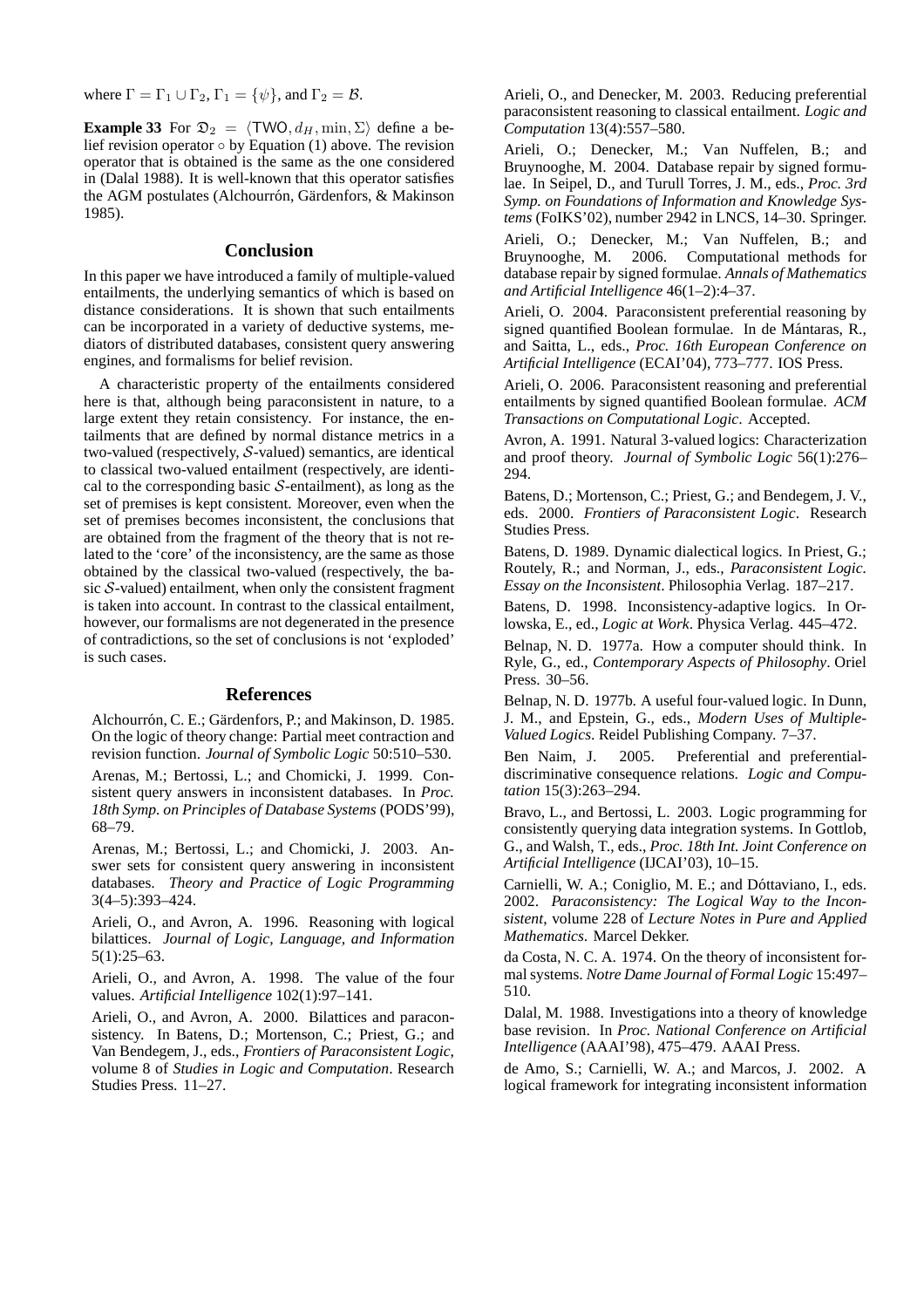where  $\Gamma = \Gamma_1 \cup \Gamma_2$ ,  $\Gamma_1 = {\psi}$ , and  $\Gamma_2 = \mathcal{B}$ .

**Example 33** For  $\mathfrak{D}_2 = \langle \text{TWO}, d_H, \text{min}, \Sigma \rangle$  define a belief revision operator  $\circ$  by Equation (1) above. The revision operator that is obtained is the same as the one considered in (Dalal 1988). It is well-known that this operator satisfies the AGM postulates (Alchourrón, Gärdenfors, & Makinson 1985).

## **Conclusion**

In this paper we have introduced a family of multiple-valued entailments, the underlying semantics of which is based on distance considerations. It is shown that such entailments can be incorporated in a variety of deductive systems, mediators of distributed databases, consistent query answering engines, and formalisms for belief revision.

A characteristic property of the entailments considered here is that, although being paraconsistent in nature, to a large extent they retain consistency. For instance, the entailments that are defined by normal distance metrics in a two-valued (respectively, S-valued) semantics, are identical to classical two-valued entailment (respectively, are identical to the corresponding basic  $S$ -entailment), as long as the set of premises is kept consistent. Moreover, even when the set of premises becomes inconsistent, the conclusions that are obtained from the fragment of the theory that is not related to the 'core' of the inconsistency, are the same as those obtained by the classical two-valued (respectively, the basic  $S$ -valued) entailment, when only the consistent fragment is taken into account. In contrast to the classical entailment, however, our formalisms are not degenerated in the presence of contradictions, so the set of conclusions is not 'exploded' is such cases.

### **References**

Alchourrón, C. E.; Gärdenfors, P.; and Makinson, D. 1985. On the logic of theory change: Partial meet contraction and revision function. *Journal of Symbolic Logic* 50:510–530.

Arenas, M.; Bertossi, L.; and Chomicki, J. 1999. Consistent query answers in inconsistent databases. In *Proc. 18th Symp. on Principles of Database Systems* (PODS'99), 68–79.

Arenas, M.; Bertossi, L.; and Chomicki, J. 2003. Answer sets for consistent query answering in inconsistent databases. *Theory and Practice of Logic Programming* 3(4–5):393–424.

Arieli, O., and Avron, A. 1996. Reasoning with logical bilattices. *Journal of Logic, Language, and Information* 5(1):25–63.

Arieli, O., and Avron, A. 1998. The value of the four values. *Artificial Intelligence* 102(1):97–141.

Arieli, O., and Avron, A. 2000. Bilattices and paraconsistency. In Batens, D.; Mortenson, C.; Priest, G.; and Van Bendegem, J., eds., *Frontiers of Paraconsistent Logic*, volume 8 of *Studies in Logic and Computation*. Research Studies Press. 11–27.

Arieli, O., and Denecker, M. 2003. Reducing preferential paraconsistent reasoning to classical entailment. *Logic and Computation* 13(4):557–580.

Arieli, O.; Denecker, M.; Van Nuffelen, B.; and Bruynooghe, M. 2004. Database repair by signed formulae. In Seipel, D., and Turull Torres, J. M., eds., *Proc. 3rd Symp. on Foundations of Information and Knowledge Systems* (FoIKS'02), number 2942 in LNCS, 14–30. Springer.

Arieli, O.; Denecker, M.; Van Nuffelen, B.; and Bruynooghe, M. 2006. Computational methods for database repair by signed formulae. *Annals of Mathematics and Artificial Intelligence* 46(1–2):4–37.

Arieli, O. 2004. Paraconsistent preferential reasoning by signed quantified Boolean formulae. In de Mántaras, R., and Saitta, L., eds., *Proc. 16th European Conference on Artificial Intelligence* (ECAI'04), 773–777. IOS Press.

Arieli, O. 2006. Paraconsistent reasoning and preferential entailments by signed quantified Boolean formulae. *ACM Transactions on Computational Logic*. Accepted.

Avron, A. 1991. Natural 3-valued logics: Characterization and proof theory. *Journal of Symbolic Logic* 56(1):276– 294.

Batens, D.; Mortenson, C.; Priest, G.; and Bendegem, J. V., eds. 2000. *Frontiers of Paraconsistent Logic*. Research Studies Press.

Batens, D. 1989. Dynamic dialectical logics. In Priest, G.; Routely, R.; and Norman, J., eds., *Paraconsistent Logic. Essay on the Inconsistent*. Philosophia Verlag. 187–217.

Batens, D. 1998. Inconsistency-adaptive logics. In Orlowska, E., ed., *Logic at Work*. Physica Verlag. 445–472.

Belnap, N. D. 1977a. How a computer should think. In Ryle, G., ed., *Contemporary Aspects of Philosophy*. Oriel Press. 30–56.

Belnap, N. D. 1977b. A useful four-valued logic. In Dunn, J. M., and Epstein, G., eds., *Modern Uses of Multiple-Valued Logics*. Reidel Publishing Company. 7–37.

Ben Naim, J. 2005. Preferential and preferentialdiscriminative consequence relations. *Logic and Computation* 15(3):263–294.

Bravo, L., and Bertossi, L. 2003. Logic programming for consistently querying data integration systems. In Gottlob, G., and Walsh, T., eds., *Proc. 18th Int. Joint Conference on Artificial Intelligence* (IJCAI'03), 10–15.

Carnielli, W. A.; Coniglio, M. E.; and Dóttaviano, I., eds. 2002. *Paraconsistency: The Logical Way to the Inconsistent*, volume 228 of *Lecture Notes in Pure and Applied Mathematics*. Marcel Dekker.

da Costa, N. C. A. 1974. On the theory of inconsistent formal systems. *Notre Dame Journal of Formal Logic* 15:497– 510.

Dalal, M. 1988. Investigations into a theory of knowledge base revision. In *Proc. National Conference on Artificial Intelligence* (AAAI'98), 475–479. AAAI Press.

de Amo, S.; Carnielli, W. A.; and Marcos, J. 2002. A logical framework for integrating inconsistent information